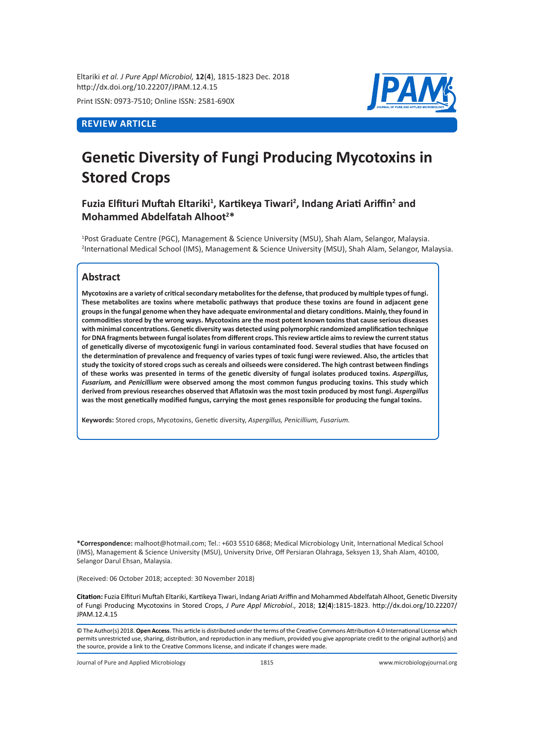Eltariki *et al. J Pure Appl Microbiol,* **12**(**4**), 1815-1823 Dec. 2018 http://dx.doi.org/10.22207/JPAM.12.4.15

Print ISSN: 0973-7510; Online ISSN: 2581-690X

# **REVIEW ARTICLE**



# **Genetic Diversity of Fungi Producing Mycotoxins in Stored Crops**

# **Fuzia Elfituri Muftah Eltariki<sup>1</sup> , Kartikeya Tiwari<sup>2</sup> , Indang Ariati Ariffin<sup>2</sup> and Mohammed Abdelfatah Alhoot<sup>2</sup> \***

1 Post Graduate Centre (PGC), Management & Science University (MSU), Shah Alam, Selangor, Malaysia. 2 International Medical School (IMS), Management & Science University (MSU), Shah Alam, Selangor, Malaysia.

# **Abstract**

**Mycotoxins are a variety of critical secondary metabolites for the defense, that produced by multiple types of fungi. These metabolites are toxins where metabolic pathways that produce these toxins are found in adjacent gene groups in the fungal genome when they have adequate environmental and dietary conditions. Mainly, they found in commodities stored by the wrong ways. Mycotoxins are the most potent known toxins that cause serious diseases with minimal concentrations. Genetic diversity was detected using polymorphic randomized amplification technique for DNA fragments between fungal isolates from different crops. This review article aims to review the current status of genetically diverse of mycotoxigenic fungi in various contaminated food. Several studies that have focused on the determination of prevalence and frequency of varies types of toxic fungi were reviewed. Also, the articles that study the toxicity of stored crops such as cereals and oilseeds were considered. The high contrast between findings of these works was presented in terms of the genetic diversity of fungal isolates produced toxins.** *Aspergillus, Fusarium,* **and** *Penicillium* **were observed among the most common fungus producing toxins. This study which derived from previous researches observed that Aflatoxin was the most toxin produced by most fungi.** *Aspergillus* **was the most genetically modified fungus, carrying the most genes responsible for producing the fungal toxins.**

**Keywords:** Stored crops, Mycotoxins, Genetic diversity, *Aspergillus, Penicillium, Fusarium.*

**\*Correspondence:** malhoot@hotmail.com; Tel.: +603 5510 6868; Medical Microbiology Unit, International Medical School (IMS), Management & Science University (MSU), University Drive, Off Persiaran Olahraga, Seksyen 13, Shah Alam, 40100, Selangor Darul Ehsan, Malaysia.

(Received: 06 October 2018; accepted: 30 November 2018)

**Citation:** Fuzia Elfituri Muftah Eltariki, Kartikeya Tiwari, Indang Ariati Ariffin and Mohammed Abdelfatah Alhoot, Genetic Diversity of Fungi Producing Mycotoxins in Stored Crops, *J Pure Appl Microbiol*., 2018; **12**(**4**):1815-1823. http://dx.doi.org/10.22207/ JPAM.12.4.15

© The Author(s) 2018. **Open Access**. This article is distributed under the terms of the Creative Commons Attribution 4.0 International License which permits unrestricted use, sharing, distribution, and reproduction in any medium, provided you give appropriate credit to the original author(s) and the source, provide a link to the Creative Commons license, and indicate if changes were made.

Journal of Pure and Applied Microbiology 1815 www.microbiologyjournal.org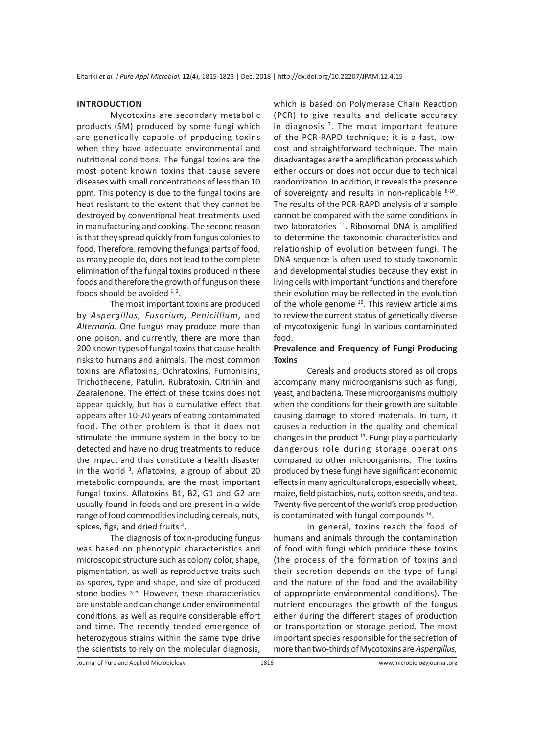#### **INTRODUCTION**

Mycotoxins are secondary metabolic products (SM) produced by some fungi which are genetically capable of producing toxins when they have adequate environmental and nutritional conditions. The fungal toxins are the most potent known toxins that cause severe diseases with small concentrations of less than 10 ppm. This potency is due to the fungal toxins are heat resistant to the extent that they cannot be destroyed by conventional heat treatments used in manufacturing and cooking. The second reason is that they spread quickly from fungus colonies to food. Therefore, removing the fungal parts of food, as many people do, does not lead to the complete elimination of the fungal toxins produced in these foods and therefore the growth of fungus on these foods should be avoided  $1, 2$ .

The most important toxins are produced by *Aspergillus, Fusarium, Penicillium*, and *Alternaria*. One fungus may produce more than one poison, and currently, there are more than 200 known types of fungal toxins that cause health risks to humans and animals. The most common toxins are Aflatoxins, Ochratoxins, Fumonisins, Trichothecene, Patulin, Rubratoxin, Citrinin and Zearalenone. The effect of these toxins does not appear quickly, but has a cumulative effect that appears after 10-20 years of eating contaminated food. The other problem is that it does not stimulate the immune system in the body to be detected and have no drug treatments to reduce the impact and thus constitute a health disaster in the world <sup>3</sup>. Aflatoxins, a group of about 20 metabolic compounds, are the most important fungal toxins. Aflatoxins B1, B2, G1 and G2 are usually found in foods and are present in a wide range of food commodities including cereals, nuts, spices, figs, and dried fruits<sup>4</sup>.

The diagnosis of toxin-producing fungus was based on phenotypic characteristics and microscopic structure such as colony color, shape, pigmentation, as well as reproductive traits such as spores, type and shape, and size of produced stone bodies  $5, 6$ . However, these characteristics are unstable and can change under environmental conditions, as well as require considerable effort and time. The recently tended emergence of heterozygous strains within the same type drive the scientists to rely on the molecular diagnosis, which is based on Polymerase Chain Reaction (PCR) to give results and delicate accuracy in diagnosis 7 . The most important feature of the PCR-RAPD technique; it is a fast, lowcost and straightforward technique. The main disadvantages are the amplification process which either occurs or does not occur due to technical randomization. In addition, it reveals the presence of sovereignty and results in non-replicable  $8-10$ . The results of the PCR-RAPD analysis of a sample cannot be compared with the same conditions in two laboratories <sup>11</sup>. Ribosomal DNA is amplified to determine the taxonomic characteristics and relationship of evolution between fungi. The DNA sequence is often used to study taxonomic and developmental studies because they exist in living cells with important functions and therefore their evolution may be reflected in the evolution of the whole genome  $12$ . This review article aims to review the current status of genetically diverse of mycotoxigenic fungi in various contaminated food.

## **Prevalence and Frequency of Fungi Producing Toxins**

Cereals and products stored as oil crops accompany many microorganisms such as fungi, yeast, and bacteria. These microorganisms multiply when the conditions for their growth are suitable causing damage to stored materials. In turn, it causes a reduction in the quality and chemical changes in the product  $13$ . Fungi play a particularly dangerous role during storage operations compared to other microorganisms. The toxins produced by these fungi have significant economic effects in many agricultural crops, especially wheat, maize, field pistachios, nuts, cotton seeds, and tea. Twenty-five percent of the world's crop production is contaminated with fungal compounds 14.

In general, toxins reach the food of humans and animals through the contamination of food with fungi which produce these toxins (the process of the formation of toxins and their secretion depends on the type of fungi and the nature of the food and the availability of appropriate environmental conditions). The nutrient encourages the growth of the fungus either during the different stages of production or transportation or storage period. The most important species responsible for the secretion of more than two-thirds of Mycotoxins are *Aspergillus,*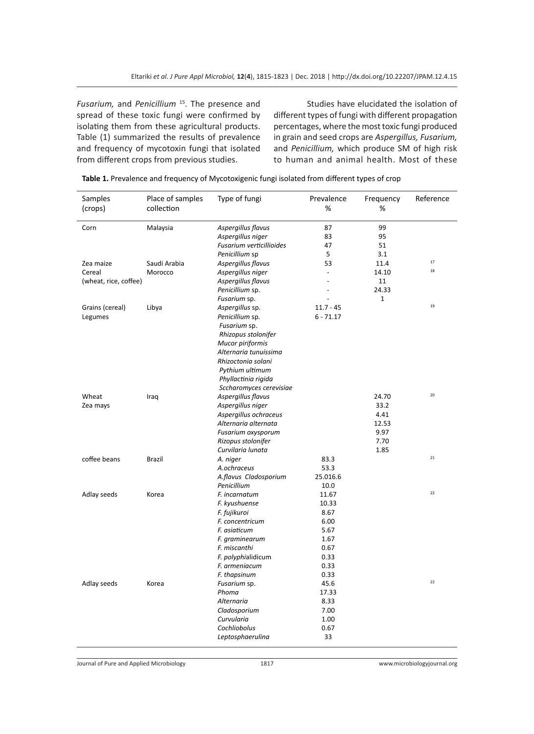*Fusarium,* and *Penicillium* <sup>15</sup>. The presence and spread of these toxic fungi were confirmed by isolating them from these agricultural products. Table (1) summarized the results of prevalence and frequency of mycotoxin fungi that isolated from different crops from previous studies.

Studies have elucidated the isolation of different types of fungi with different propagation percentages, where the most toxic fungi produced in grain and seed crops are *Aspergillus, Fusarium,*  and *Penicillium,* which produce SM of high risk to human and animal health. Most of these

| Samples               | Place of samples | Type of fungi            | Prevalence  | Frequency | Reference |
|-----------------------|------------------|--------------------------|-------------|-----------|-----------|
| (crops)               | collection       |                          | $\%$        | %         |           |
| Corn                  | Malaysia         | Aspergillus flavus       | 87          | 99        |           |
|                       |                  | Aspergillus niger        | 83          | 95        |           |
|                       |                  | Fusarium verticillioides | 47          | 51        |           |
|                       |                  | Penicillium sp           | 5           | 3.1       |           |
| Zea maize             | Saudi Arabia     | Aspergillus flavus       | 53          | 11.4      | 17        |
| Cereal                | Morocco          | Aspergillus niger        |             | 14.10     | 18        |
| (wheat, rice, coffee) |                  | Aspergillus flavus       |             | 11        |           |
|                       |                  | Penicillium sp.          |             | 24.33     |           |
|                       |                  | Fusarium sp.             |             | 1         |           |
| Grains (cereal)       | Libya            | Aspergillus sp.          | $11.7 - 45$ |           | 19        |
| Legumes               |                  | Penicillium sp.          | $6 - 71.17$ |           |           |
|                       |                  | Fusarium sp.             |             |           |           |
|                       |                  | Rhizopus stolonifer      |             |           |           |
|                       |                  | Mucor piriformis         |             |           |           |
|                       |                  | Alternaria tunuissima    |             |           |           |
|                       |                  | Rhizoctonia solani       |             |           |           |
|                       |                  | Pythium ultimum          |             |           |           |
|                       |                  | Phyllactinia rigida      |             |           |           |
|                       |                  | Sccharomyces cerevisiae  |             |           |           |
| Wheat                 | Iraq             | Aspergillus flavus       |             | 24.70     | 20        |
| Zea mays              |                  | Aspergillus niger        |             | 33.2      |           |
|                       |                  | Aspergillus ochraceus    |             | 4.41      |           |
|                       |                  | Alternaria alternata     |             | 12.53     |           |
|                       |                  | Fusarium oxysporum       |             | 9.97      |           |
|                       |                  | Rizopus stolonifer       |             | 7.70      |           |
|                       |                  | Curvilaria lunata        |             | 1.85      |           |
| coffee beans          | <b>Brazil</b>    | A. niger                 | 83.3        |           | 21        |
|                       |                  | A.ochraceus              | 53.3        |           |           |
|                       |                  | A.flavus Cladosporium    | 25.016.6    |           |           |
|                       |                  | Penicillium              | 10.0        |           |           |
| Adlay seeds           | Korea            | F. incarnatum            | 11.67       |           | 22        |
|                       |                  | F. kyushuense            | 10.33       |           |           |
|                       |                  | F. fujikuroi             | 8.67        |           |           |
|                       |                  | F. concentricum          | 6.00        |           |           |
|                       |                  | F. asiaticum             | 5.67        |           |           |
|                       |                  | F. graminearum           | 1.67        |           |           |
|                       |                  | F. miscanthi             | 0.67        |           |           |
|                       |                  | F. polyphialidicum       | 0.33        |           |           |
|                       |                  | F. armeniacum            | 0.33        |           |           |
|                       |                  | F. thapsinum             | 0.33        |           |           |
| Adlay seeds           | Korea            | Fusarium sp.             | 45.6        |           | 22        |
|                       |                  | Phoma                    | 17.33       |           |           |
|                       |                  | <b>Alternaria</b>        | 8.33        |           |           |
|                       |                  | Cladosporium             | 7.00        |           |           |
|                       |                  | Curvularia               | 1.00        |           |           |
|                       |                  | Cochliobolus             | 0.67        |           |           |
|                       |                  | Leptosphaerulina         | 33          |           |           |

| Table 1. Prevalence and frequency of Mycotoxigenic fungi isolated from different types of crop |  |
|------------------------------------------------------------------------------------------------|--|
|------------------------------------------------------------------------------------------------|--|

Journal of Pure and Applied Microbiology 1817 www.microbiologyjournal.org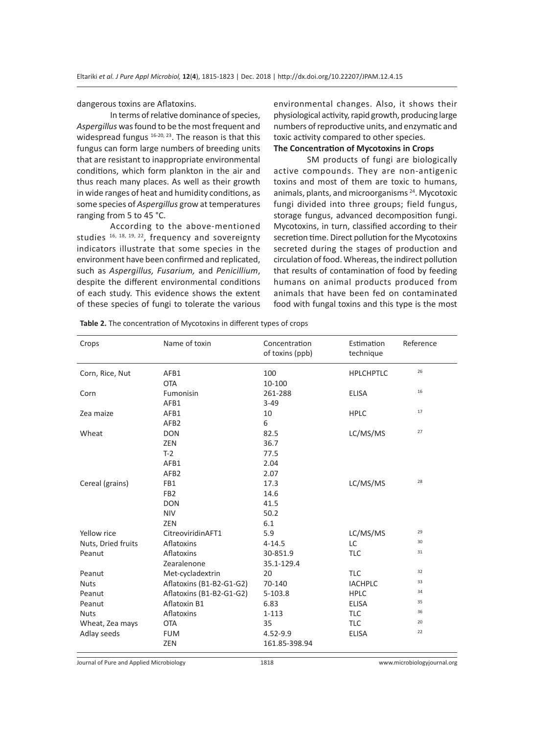dangerous toxins are Aflatoxins.

In terms of relative dominance of species, *Aspergillus* was found to be the most frequent and widespread fungus <sup>16-20, 23</sup>. The reason is that this fungus can form large numbers of breeding units that are resistant to inappropriate environmental conditions, which form plankton in the air and thus reach many places. As well as their growth in wide ranges of heat and humidity conditions, as some species of *Aspergillus* grow at temperatures ranging from 5 to 45 °C.

According to the above-mentioned studies  $16, 18, 19, 22$ , frequency and sovereignty indicators illustrate that some species in the environment have been confirmed and replicated, such as *Aspergillus, Fusarium,* and *Penicillium*, despite the different environmental conditions of each study. This evidence shows the extent of these species of fungi to tolerate the various

environmental changes. Also, it shows their physiological activity, rapid growth, producing large numbers of reproductive units, and enzymatic and toxic activity compared to other species.

# **The Concentration of Mycotoxins in Crops**

SM products of fungi are biologically active compounds. They are non-antigenic toxins and most of them are toxic to humans, animals, plants, and microorganisms 24. Mycotoxic fungi divided into three groups; field fungus, storage fungus, advanced decomposition fungi. Mycotoxins, in turn, classified according to their secretion time. Direct pollution for the Mycotoxins secreted during the stages of production and circulation of food. Whereas, the indirect pollution that results of contamination of food by feeding humans on animal products produced from animals that have been fed on contaminated food with fungal toxins and this type is the most

| Crops              | Name of toxin            | Concentration<br>of toxins (ppb) | Estimation<br>technique | Reference |
|--------------------|--------------------------|----------------------------------|-------------------------|-----------|
| Corn, Rice, Nut    | AFB1<br><b>OTA</b>       | 100<br>10-100                    | <b>HPLCHPTLC</b>        | 26        |
| Corn               | Fumonisin                | 261-288                          | <b>ELISA</b>            | 16        |
|                    | AFB1                     | $3 - 49$                         |                         |           |
| Zea maize          | AFB1                     | 10                               | <b>HPLC</b>             | 17        |
|                    | AFB <sub>2</sub>         | 6                                |                         |           |
| Wheat              | <b>DON</b>               | 82.5                             | LC/MS/MS                | 27        |
|                    | ZEN                      | 36.7                             |                         |           |
|                    | $T-2$                    | 77.5                             |                         |           |
|                    | AFB1                     | 2.04                             |                         |           |
|                    | AFB <sub>2</sub>         | 2.07                             |                         |           |
| Cereal (grains)    | FB1                      | 17.3                             | LC/MS/MS                | 28        |
|                    | FB <sub>2</sub>          | 14.6                             |                         |           |
|                    | <b>DON</b>               | 41.5                             |                         |           |
|                    | <b>NIV</b>               | 50.2                             |                         |           |
|                    | <b>ZEN</b>               | 6.1                              |                         |           |
| Yellow rice        | CitreoviridinAFT1        | 5.9                              | LC/MS/MS                | 29        |
| Nuts, Dried fruits | Aflatoxins               | $4 - 14.5$                       | LC                      | 30        |
| Peanut             | Aflatoxins               | 30-851.9                         | <b>TLC</b>              | 31        |
|                    | Zearalenone              | 35.1-129.4                       |                         |           |
| Peanut             | Met-cycladextrin         | 20                               | <b>TLC</b>              | 32        |
| <b>Nuts</b>        | Aflatoxins (B1-B2-G1-G2) | 70-140                           | <b>IACHPLC</b>          | 33        |
| Peanut             | Aflatoxins (B1-B2-G1-G2) | $5 - 103.8$                      | <b>HPLC</b>             | 34        |
| Peanut             | Aflatoxin B1             | 6.83                             | <b>ELISA</b>            | 35        |
| <b>Nuts</b>        | Aflatoxins               | $1 - 113$                        | <b>TLC</b>              | 36        |
| Wheat, Zea mays    | <b>OTA</b>               | 35                               | <b>TLC</b>              | 20        |
| Adlay seeds        | <b>FUM</b>               | 4.52-9.9                         | <b>ELISA</b>            | 22        |
|                    | ZEN                      | 161.85-398.94                    |                         |           |

**Table 2.** The concentration of Mycotoxins in different types of crops

Journal of Pure and Applied Microbiology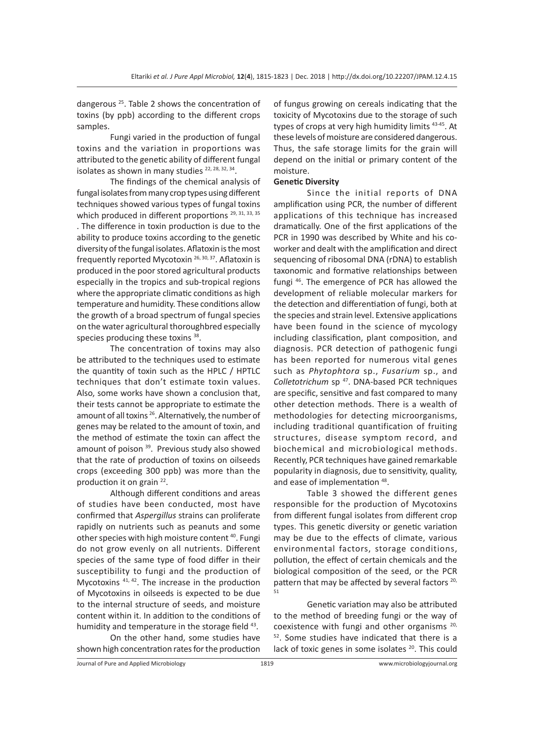dangerous 25. Table 2 shows the concentration of toxins (by ppb) according to the different crops samples.

Fungi varied in the production of fungal toxins and the variation in proportions was attributed to the genetic ability of different fungal isolates as shown in many studies  $22, 28, 32, 34$ .

The findings of the chemical analysis of fungal isolates from many crop types using different techniques showed various types of fungal toxins which produced in different proportions<sup>29, 31, 33, 35</sup> . The difference in toxin production is due to the ability to produce toxins according to the genetic diversity of the fungal isolates. Aflatoxin is the most frequently reported Mycotoxin 26, 30, 37. Aflatoxin is produced in the poor stored agricultural products especially in the tropics and sub-tropical regions where the appropriate climatic conditions as high temperature and humidity. These conditions allow the growth of a broad spectrum of fungal species on the water agricultural thoroughbred especially species producing these toxins 38.

The concentration of toxins may also be attributed to the techniques used to estimate the quantity of toxin such as the HPLC / HPTLC techniques that don't estimate toxin values. Also, some works have shown a conclusion that, their tests cannot be appropriate to estimate the amount of all toxins  $^{26}$ . Alternatively, the number of genes may be related to the amount of toxin, and the method of estimate the toxin can affect the amount of poison<sup>39</sup>. Previous study also showed that the rate of production of toxins on oilseeds crops (exceeding 300 ppb) was more than the production it on grain 22.

Although different conditions and areas of studies have been conducted, most have confirmed that *Aspergillus* strains can proliferate rapidly on nutrients such as peanuts and some other species with high moisture content<sup>40</sup>. Fungi do not grow evenly on all nutrients. Different species of the same type of food differ in their susceptibility to fungi and the production of Mycotoxins <sup>41, 42</sup>. The increase in the production of Mycotoxins in oilseeds is expected to be due to the internal structure of seeds, and moisture content within it. In addition to the conditions of humidity and temperature in the storage field 43.

On the other hand, some studies have shown high concentration rates for the production of fungus growing on cereals indicating that the toxicity of Mycotoxins due to the storage of such types of crops at very high humidity limits 43-45. At these levels of moisture are considered dangerous. Thus, the safe storage limits for the grain will depend on the initial or primary content of the moisture.

### **Genetic Diversity**

Since the initial reports of DNA amplification using PCR, the number of different applications of this technique has increased dramatically. One of the first applications of the PCR in 1990 was described by White and his coworker and dealt with the amplification and direct sequencing of ribosomal DNA (rDNA) to establish taxonomic and formative relationships between fungi 46. The emergence of PCR has allowed the development of reliable molecular markers for the detection and differentiation of fungi, both at the species and strain level. Extensive applications have been found in the science of mycology including classification, plant composition, and diagnosis. PCR detection of pathogenic fungi has been reported for numerous vital genes such as *Phytophtora* sp., *Fusarium* sp., and *Colletotrichum* sp 47. DNA-based PCR techniques are specific, sensitive and fast compared to many other detection methods. There is a wealth of methodologies for detecting microorganisms, including traditional quantification of fruiting structures, disease symptom record, and biochemical and microbiological methods. Recently, PCR techniques have gained remarkable popularity in diagnosis, due to sensitivity, quality, and ease of implementation 48.

Table 3 showed the different genes responsible for the production of Mycotoxins from different fungal isolates from different crop types. This genetic diversity or genetic variation may be due to the effects of climate, various environmental factors, storage conditions, pollution, the effect of certain chemicals and the biological composition of the seed, or the PCR pattern that may be affected by several factors<sup>20,</sup> 51

Genetic variation may also be attributed to the method of breeding fungi or the way of coexistence with fungi and other organisms 20, 52. Some studies have indicated that there is a lack of toxic genes in some isolates <sup>20</sup>. This could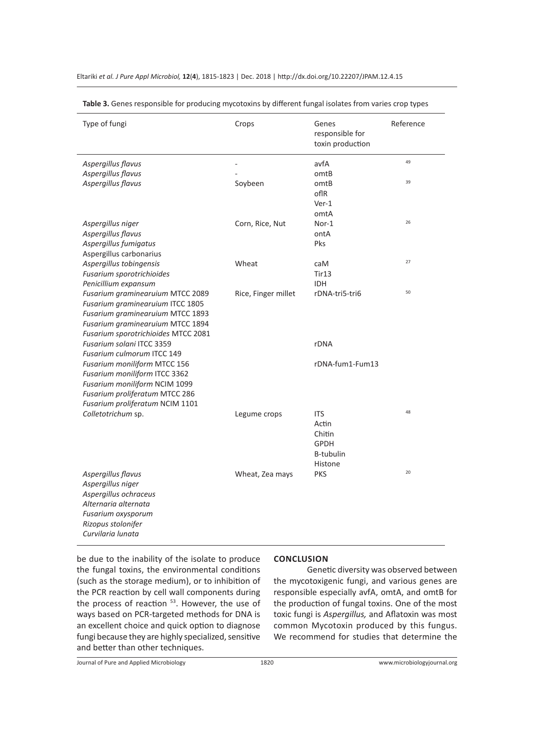| Type of fungi                       | Crops               | Genes<br>responsible for<br>toxin production | Reference |
|-------------------------------------|---------------------|----------------------------------------------|-----------|
| Aspergillus flavus                  |                     | avfA                                         | 49        |
| Aspergillus flavus                  |                     | omtB                                         |           |
| Aspergillus flavus                  | Soybeen             | omtB                                         | 39        |
|                                     |                     | oflR                                         |           |
|                                     |                     | $Ver-1$                                      |           |
|                                     |                     | omtA                                         |           |
| Aspergillus niger                   | Corn, Rice, Nut     | Nor-1                                        | 26        |
| Aspergillus flavus                  |                     | ontA                                         |           |
| Aspergillus fumigatus               |                     | Pks                                          |           |
| Aspergillus carbonarius             |                     |                                              |           |
| Aspergillus tobingensis             | Wheat               | caM                                          | 27        |
| Fusarium sporotrichioides           |                     | Tir13                                        |           |
| Penicillium expansum                |                     | <b>IDH</b>                                   |           |
| Fusarium graminearuium MTCC 2089    | Rice, Finger millet | rDNA-tri5-tri6                               | 50        |
| Fusarium graminearuium ITCC 1805    |                     |                                              |           |
| Fusarium graminearuium MTCC 1893    |                     |                                              |           |
| Fusarium graminearuium MTCC 1894    |                     |                                              |           |
| Fusarium sporotrichioides MTCC 2081 |                     |                                              |           |
| Fusarium solani ITCC 3359           |                     | rDNA                                         |           |
| Fusarium culmorum ITCC 149          |                     |                                              |           |
| Fusarium moniliform MTCC 156        |                     | rDNA-fum1-Fum13                              |           |
| Fusarium moniliform ITCC 3362       |                     |                                              |           |
| Fusarium moniliform NCIM 1099       |                     |                                              |           |
| Fusarium proliferatum MTCC 286      |                     |                                              |           |
| Fusarium proliferatum NCIM 1101     |                     |                                              | 48        |
| Colletotrichum sp.                  | Legume crops        | <b>ITS</b>                                   |           |
|                                     |                     | Actin                                        |           |
|                                     |                     | Chitin                                       |           |
|                                     |                     | <b>GPDH</b>                                  |           |
|                                     |                     | B-tubulin                                    |           |
|                                     |                     | Histone                                      |           |
| Aspergillus flavus                  | Wheat, Zea mays     | <b>PKS</b>                                   | 20        |
| Aspergillus niger                   |                     |                                              |           |
| Aspergillus ochraceus               |                     |                                              |           |
| Alternaria alternata                |                     |                                              |           |
| Fusarium oxysporum                  |                     |                                              |           |
| Rizopus stolonifer                  |                     |                                              |           |
| Curvilaria lunata                   |                     |                                              |           |

**Table 3.** Genes responsible for producing mycotoxins by different fungal isolates from varies crop types

be due to the inability of the isolate to produce the fungal toxins, the environmental conditions (such as the storage medium), or to inhibition of the PCR reaction by cell wall components during the process of reaction <sup>53</sup>. However, the use of ways based on PCR-targeted methods for DNA is an excellent choice and quick option to diagnose fungi because they are highly specialized, sensitive and better than other techniques.

#### **CONCLUSION**

Genetic diversity was observed between the mycotoxigenic fungi, and various genes are responsible especially avfA, omtA, and omtB for the production of fungal toxins. One of the most toxic fungi is *Aspergillus,* and Aflatoxin was most common Mycotoxin produced by this fungus. We recommend for studies that determine the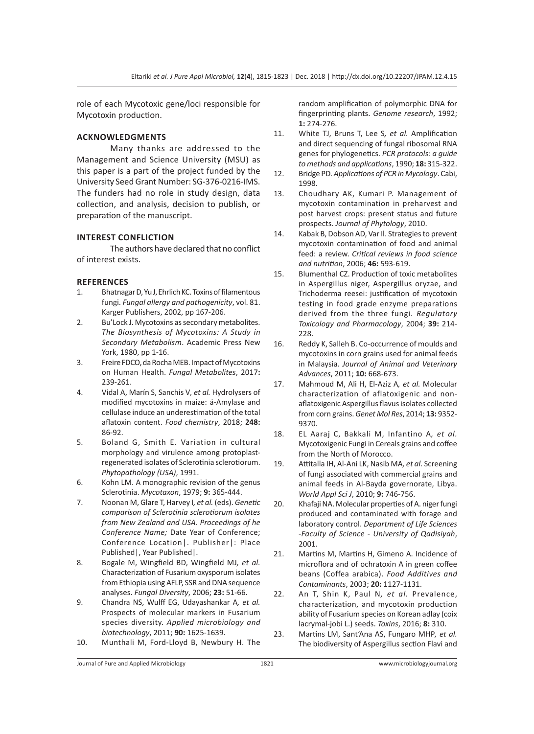role of each Mycotoxic gene/loci responsible for Mycotoxin production.

# **ACKNOWLEDGMENTS**

Many thanks are addressed to the Management and Science University (MSU) as this paper is a part of the project funded by the University Seed Grant Number: SG-376-0216-IMS. The funders had no role in study design, data collection, and analysis, decision to publish, or preparation of the manuscript.

### **INTEREST CONFLICTION**

The authors have declared that no conflict of interest exists.

#### **REFERENCES**

- 1. Bhatnagar D, Yu J, Ehrlich KC. Toxins of filamentous fungi. *Fungal allergy and pathogenicity*, vol. 81. Karger Publishers, 2002, pp 167-206.
- 2. Bu'Lock J. Mycotoxins as secondary metabolites. *The Biosynthesis of Mycotoxins: A Study in Secondary Metabolism*. Academic Press New York, 1980, pp 1-16.
- 3. Freire FDCO, da Rocha MEB. Impact of Mycotoxins on Human Health. *Fungal Metabolites*, 2017**:**  239-261.
- 4. Vidal A, Marín S, Sanchis V*, et al.* Hydrolysers of modified mycotoxins in maize: á-Amylase and cellulase induce an underestimation of the total aflatoxin content. *Food chemistry*, 2018; **248:**  86-92.
- 5. Boland G, Smith E. Variation in cultural morphology and virulence among protoplastregenerated isolates of Sclerotinia sclerotiorum. *Phytopathology (USA)*, 1991.
- 6. Kohn LM. A monographic revision of the genus Sclerotinia. *Mycotaxon*, 1979; **9:** 365-444.
- 7. Noonan M, Glare T, Harvey I*, et al.* (eds). *Genetic comparison of Sclerotinia sclerotiorum isolates from New Zealand and USA*. *Proceedings of he Conference Name;* Date Year of Conference; Conference Location|. Publisher|: Place Published|, Year Published|.
- 8. Bogale M, Wingfield BD, Wingfield MJ*, et al.* Characterization of Fusarium oxysporum isolates from Ethiopia using AFLP, SSR and DNA sequence analyses. *Fungal Diversity*, 2006; **23:** 51-66.
- 9. Chandra NS, Wulff EG, Udayashankar A*, et al.* Prospects of molecular markers in Fusarium species diversity. *Applied microbiology and biotechnology*, 2011; **90:** 1625-1639.
- 10. Munthali M, Ford-Lloyd B, Newbury H. The

random amplification of polymorphic DNA for fingerprinting plants. *Genome research*, 1992; **1:** 274-276.

- 11. White TJ, Bruns T, Lee S*, et al.* Amplification and direct sequencing of fungal ribosomal RNA genes for phylogenetics. *PCR protocols: a guide to methods and applications*, 1990; **18:** 315-322.
- 12. Bridge PD. *Applications of PCR in Mycology*. Cabi, 1998.
- 13. Choudhary AK, Kumari P. Management of mycotoxin contamination in preharvest and post harvest crops: present status and future prospects. *Journal of Phytology*, 2010.
- 14. Kabak B, Dobson AD, Var Il. Strategies to prevent mycotoxin contamination of food and animal feed: a review. *Critical reviews in food science and nutrition*, 2006; **46:** 593-619.
- 15. Blumenthal CZ. Production of toxic metabolites in Aspergillus niger, Aspergillus oryzae, and Trichoderma reesei: justification of mycotoxin testing in food grade enzyme preparations derived from the three fungi. *Regulatory Toxicology and Pharmacology*, 2004; **39:** 214- 228.
- 16. Reddy K, Salleh B. Co-occurrence of moulds and mycotoxins in corn grains used for animal feeds in Malaysia. *Journal of Animal and Veterinary Advances*, 2011; **10:** 668-673.
- 17. Mahmoud M, Ali H, El-Aziz A*, et al.* Molecular characterization of aflatoxigenic and nonaflatoxigenic Aspergillus flavus isolates collected from corn grains. *Genet Mol Res*, 2014; **13:** 9352- 9370.
- 18. EL Aaraj C, Bakkali M, Infantino A*, et al.* Mycotoxigenic Fungi in Cereals grains and coffee from the North of Morocco.
- 19. Attitalla IH, Al-Ani LK, Nasib MA*, et al.* Screening of fungi associated with commercial grains and animal feeds in Al-Bayda governorate, Libya. *World Appl Sci J*, 2010; **9:** 746-756.
- 20. Khafaji NA. Molecular properties of A. niger fungi produced and contaminated with forage and laboratory control. *Department of Life Sciences -Faculty of Science - University of Qadisiyah*, 2001.
- 21. Martins M, Martins H, Gimeno A. Incidence of microflora and of ochratoxin A in green coffee beans (Coffea arabica). *Food Additives and Contaminants*, 2003; **20:** 1127-1131.
- 22. An T, Shin K, Paul N*, et al.* Prevalence, characterization, and mycotoxin production ability of Fusarium species on Korean adlay (coix lacrymal-jobi L.) seeds. *Toxins*, 2016; **8:** 310.
- 23. Martins LM, Sant'Ana AS, Fungaro MHP*, et al.* The biodiversity of Aspergillus section Flavi and

Journal of Pure and Applied Microbiology 1821 www.microbiologyjournal.org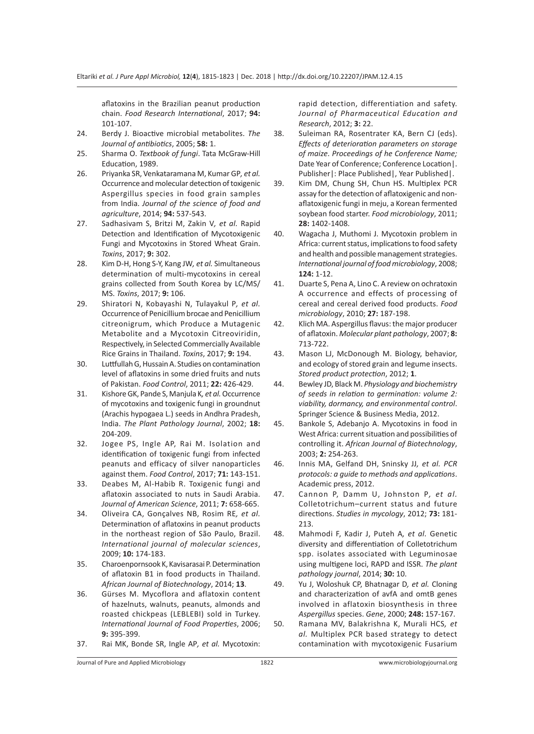aflatoxins in the Brazilian peanut production chain. *Food Research International*, 2017; **94:**  101-107.

- 24. Berdy J. Bioactive microbial metabolites. *The Journal of antibiotics*, 2005; **58:** 1.
- 25. Sharma O. *Textbook of fungi*. Tata McGraw-Hill Education, 1989.
- 26. Priyanka SR, Venkataramana M, Kumar GP*, et al.* Occurrence and molecular detection of toxigenic Aspergillus species in food grain samples from India. *Journal of the science of food and agriculture*, 2014; **94:** 537-543.
- 27. Sadhasivam S, Britzi M, Zakin V*, et al.* Rapid Detection and Identification of Mycotoxigenic Fungi and Mycotoxins in Stored Wheat Grain. *Toxins*, 2017; **9:** 302.
- 28. Kim D-H, Hong S-Y, Kang JW*, et al.* Simultaneous determination of multi-mycotoxins in cereal grains collected from South Korea by LC/MS/ MS. *Toxins*, 2017; **9:** 106.
- 29. Shiratori N, Kobayashi N, Tulayakul P*, et al.* Occurrence of Penicillium brocae and Penicillium citreonigrum, which Produce a Mutagenic Metabolite and a Mycotoxin Citreoviridin, Respectively, in Selected Commercially Available Rice Grains in Thailand. *Toxins*, 2017; **9:** 194.
- 30. Luttfullah G, Hussain A. Studies on contamination level of aflatoxins in some dried fruits and nuts of Pakistan. *Food Control*, 2011; **22:** 426-429.
- 31. Kishore GK, Pande S, Manjula K*, et al.* Occurrence of mycotoxins and toxigenic fungi in groundnut (Arachis hypogaea L.) seeds in Andhra Pradesh, India. *The Plant Pathology Journal*, 2002; **18:**  204-209.
- 32. Jogee PS, Ingle AP, Rai M. Isolation and identification of toxigenic fungi from infected peanuts and efficacy of silver nanoparticles against them. *Food Control*, 2017; **71:** 143-151.
- 33. Deabes M, Al-Habib R. Toxigenic fungi and aflatoxin associated to nuts in Saudi Arabia. *Journal of American Science*, 2011; **7:** 658-665.
- 34. Oliveira CA, Gonçalves NB, Rosim RE*, et al.* Determination of aflatoxins in peanut products in the northeast region of São Paulo, Brazil. *International journal of molecular sciences*, 2009; **10:** 174-183.
- 35. Charoenpornsook K, Kavisarasai P. Determination of aflatoxin B1 in food products in Thailand. *African Journal of Biotechnology*, 2014; **13**.
- 36. Gürses M. Mycoflora and aflatoxin content of hazelnuts, walnuts, peanuts, almonds and roasted chickpeas (LEBLEBI) sold in Turkey. *International Journal of Food Properties*, 2006; **9:** 395-399.
- 37. Rai MK, Bonde SR, Ingle AP*, et al.* Mycotoxin:

rapid detection, differentiation and safety. *Journal of Pharmaceutical Education and Research*, 2012; **3:** 22.

- 38. Suleiman RA, Rosentrater KA, Bern CJ (eds). *Effects of deterioration parameters on storage of maize*. *Proceedings of he Conference Name;*  Date Year of Conference; Conference Location|. Publisher|: Place Published|, Year Published|.
- 39. Kim DM, Chung SH, Chun HS. Multiplex PCR assay for the detection of aflatoxigenic and nonaflatoxigenic fungi in meju, a Korean fermented soybean food starter. *Food microbiology*, 2011; **28:** 1402-1408.
- 40. Wagacha J, Muthomi J. Mycotoxin problem in Africa: current status, implications to food safety and health and possible management strategies. *International journal of food microbiology*, 2008; **124:** 1-12.
- 41. Duarte S, Pena A, Lino C. A review on ochratoxin A occurrence and effects of processing of cereal and cereal derived food products. *Food microbiology*, 2010; **27:** 187-198.
- 42. Klich MA. Aspergillus flavus: the major producer of aflatoxin. *Molecular plant pathology*, 2007; **8:**  713-722.
- 43. Mason LJ, McDonough M. Biology, behavior, and ecology of stored grain and legume insects. *Stored product protection*, 2012; **1**.
- 44. Bewley JD, Black M. *Physiology and biochemistry of seeds in relation to germination: volume 2: viability, dormancy, and environmental control*. Springer Science & Business Media, 2012.
- 45. Bankole S, Adebanjo A. Mycotoxins in food in West Africa: current situation and possibilities of controlling it. *African Journal of Biotechnology*, 2003; **2:** 254-263.
- 46. Innis MA, Gelfand DH, Sninsky JJ*, et al. PCR protocols: a guide to methods and applications*. Academic press, 2012.
- 47. Cannon P, Damm U, Johnston P*, et al.* Colletotrichum–current status and future directions. *Studies in mycology*, 2012; **73:** 181- 213.
- 48. Mahmodi F, Kadir J, Puteh A*, et al.* Genetic diversity and differentiation of Colletotrichum spp. isolates associated with Leguminosae using multigene loci, RAPD and ISSR. *The plant pathology journal*, 2014; **30:** 10.
- 49. Yu J, Woloshuk CP, Bhatnagar D*, et al.* Cloning and characterization of avfA and omtB genes involved in aflatoxin biosynthesis in three *Aspergillus* species. *Gene*, 2000; **248:** 157-167.
- 50. Ramana MV, Balakrishna K, Murali HCS*, et al.* Multiplex PCR based strategy to detect contamination with mycotoxigenic Fusarium